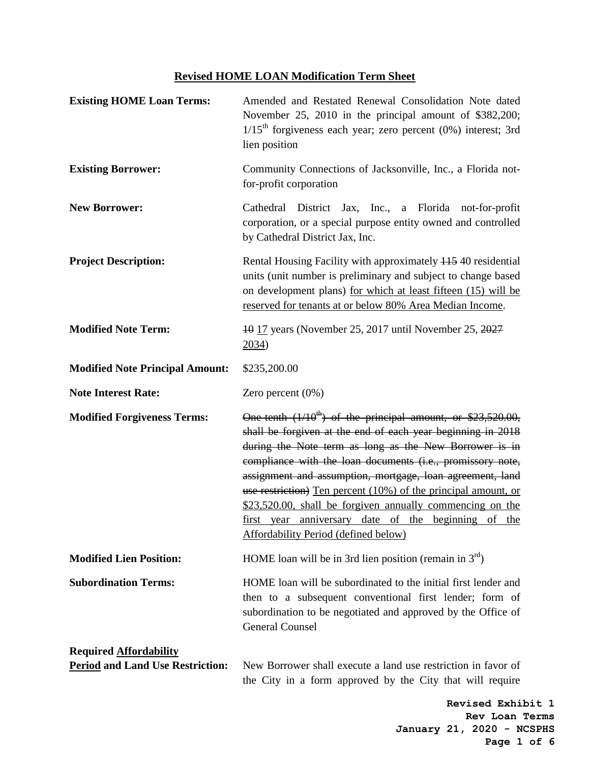## **Revised HOME LOAN Modification Term Sheet**

| <b>Existing HOME Loan Terms:</b>                                         | Amended and Restated Renewal Consolidation Note dated<br>November 25, 2010 in the principal amount of \$382,200;<br>$1/15$ <sup>th</sup> forgiveness each year; zero percent (0%) interest; 3rd<br>lien position                                                                                                                                                                                                                                                                                                                                   |
|--------------------------------------------------------------------------|----------------------------------------------------------------------------------------------------------------------------------------------------------------------------------------------------------------------------------------------------------------------------------------------------------------------------------------------------------------------------------------------------------------------------------------------------------------------------------------------------------------------------------------------------|
| <b>Existing Borrower:</b>                                                | Community Connections of Jacksonville, Inc., a Florida not-<br>for-profit corporation                                                                                                                                                                                                                                                                                                                                                                                                                                                              |
| <b>New Borrower:</b>                                                     | District Jax, Inc., a Florida not-for-profit<br>Cathedral<br>corporation, or a special purpose entity owned and controlled<br>by Cathedral District Jax, Inc.                                                                                                                                                                                                                                                                                                                                                                                      |
| <b>Project Description:</b>                                              | Rental Housing Facility with approximately 115 40 residential<br>units (unit number is preliminary and subject to change based<br>on development plans) for which at least fifteen (15) will be<br>reserved for tenants at or below 80% Area Median Income.                                                                                                                                                                                                                                                                                        |
| <b>Modified Note Term:</b>                                               | 40 17 years (November 25, 2017 until November 25, 2027<br>2034)                                                                                                                                                                                                                                                                                                                                                                                                                                                                                    |
| <b>Modified Note Principal Amount:</b>                                   | \$235,200.00                                                                                                                                                                                                                                                                                                                                                                                                                                                                                                                                       |
| <b>Note Interest Rate:</b>                                               | Zero percent $(0\%)$                                                                                                                                                                                                                                                                                                                                                                                                                                                                                                                               |
| <b>Modified Forgiveness Terms:</b>                                       | One tenth $(1/10^{th})$ of the principal amount, or \$23,520.00,<br>shall be forgiven at the end of each year beginning in 2018<br>during the Note term as long as the New Borrower is in<br>compliance with the loan documents (i.e., promissory note,<br>assignment and assumption, mortgage, loan agreement, land<br>use restriction) Ten percent (10%) of the principal amount, or<br>\$23,520.00, shall be forgiven annually commencing on the<br>first year anniversary date of the beginning of the<br>Affordability Period (defined below) |
| <b>Modified Lien Position:</b>                                           | HOME loan will be in 3rd lien position (remain in $3rd$ )                                                                                                                                                                                                                                                                                                                                                                                                                                                                                          |
| <b>Subordination Terms:</b>                                              | HOME loan will be subordinated to the initial first lender and<br>then to a subsequent conventional first lender; form of<br>subordination to be negotiated and approved by the Office of<br><b>General Counsel</b>                                                                                                                                                                                                                                                                                                                                |
| <b>Required Affordability</b><br><b>Period and Land Use Restriction:</b> | New Borrower shall execute a land use restriction in favor of<br>the City in a form approved by the City that will require                                                                                                                                                                                                                                                                                                                                                                                                                         |

**Revised Exhibit 1 Rev Loan Terms January 21, 2020 - NCSPHS Page 1 of 6**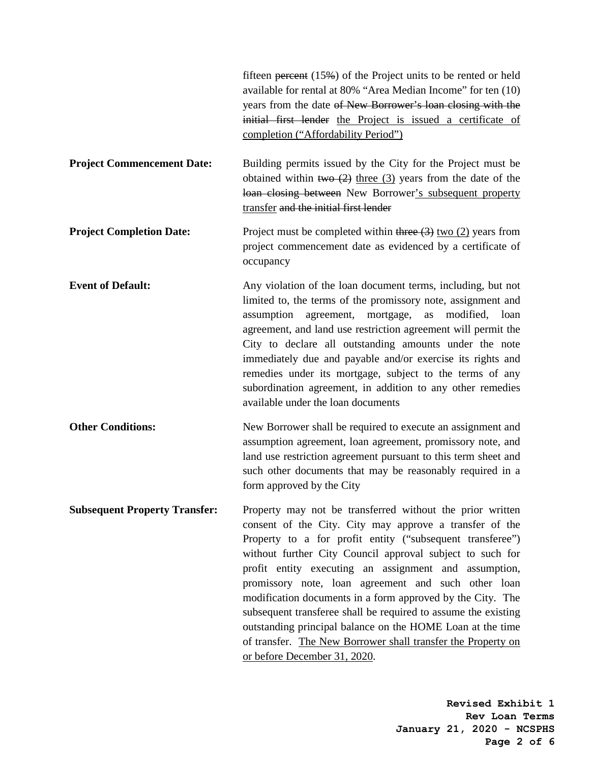|                                      | fifteen percent $(15\%)$ of the Project units to be rented or held<br>available for rental at 80% "Area Median Income" for ten (10)<br>years from the date of New Borrower's loan closing with the<br>initial first lender the Project is issued a certificate of<br>completion ("Affordability Period")                                                                                                                                                                                                                                                                                                                                                     |
|--------------------------------------|--------------------------------------------------------------------------------------------------------------------------------------------------------------------------------------------------------------------------------------------------------------------------------------------------------------------------------------------------------------------------------------------------------------------------------------------------------------------------------------------------------------------------------------------------------------------------------------------------------------------------------------------------------------|
| <b>Project Commencement Date:</b>    | Building permits issued by the City for the Project must be<br>obtained within two $(2)$ three $(3)$ years from the date of the<br>loan closing between New Borrower's subsequent property<br>transfer and the initial first lender                                                                                                                                                                                                                                                                                                                                                                                                                          |
| <b>Project Completion Date:</b>      | Project must be completed within three $(3)$ two $(2)$ years from<br>project commencement date as evidenced by a certificate of<br>occupancy                                                                                                                                                                                                                                                                                                                                                                                                                                                                                                                 |
| <b>Event of Default:</b>             | Any violation of the loan document terms, including, but not<br>limited to, the terms of the promissory note, assignment and<br>assumption agreement, mortgage,<br>modified, loan<br>as<br>agreement, and land use restriction agreement will permit the<br>City to declare all outstanding amounts under the note<br>immediately due and payable and/or exercise its rights and<br>remedies under its mortgage, subject to the terms of any<br>subordination agreement, in addition to any other remedies<br>available under the loan documents                                                                                                             |
| <b>Other Conditions:</b>             | New Borrower shall be required to execute an assignment and<br>assumption agreement, loan agreement, promissory note, and<br>land use restriction agreement pursuant to this term sheet and<br>such other documents that may be reasonably required in a<br>form approved by the City                                                                                                                                                                                                                                                                                                                                                                        |
| <b>Subsequent Property Transfer:</b> | Property may not be transferred without the prior written<br>consent of the City. City may approve a transfer of the<br>Property to a for profit entity ("subsequent transferee")<br>without further City Council approval subject to such for<br>profit entity executing an assignment and assumption,<br>promissory note, loan agreement and such other loan<br>modification documents in a form approved by the City. The<br>subsequent transferee shall be required to assume the existing<br>outstanding principal balance on the HOME Loan at the time<br>of transfer. The New Borrower shall transfer the Property on<br>or before December 31, 2020. |

**Revised Exhibit 1 Rev Loan Terms January 21, 2020 - NCSPHS Page 2 of 6**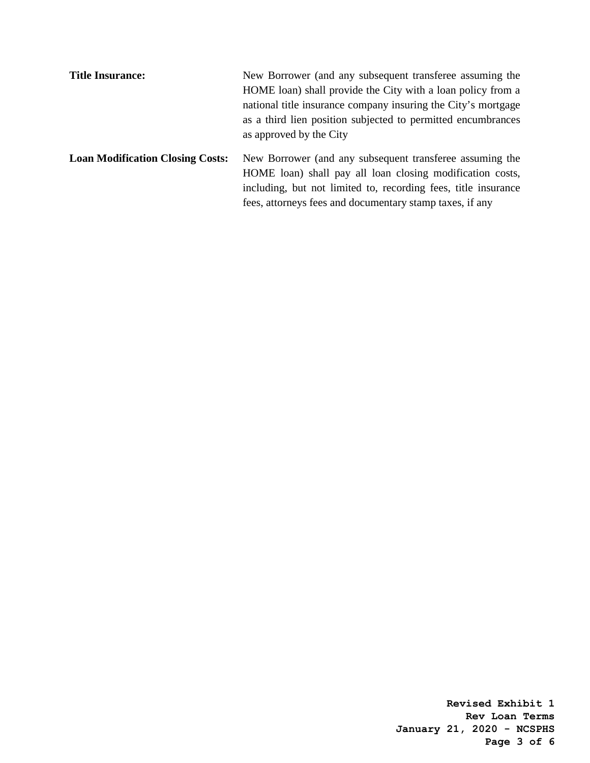| <b>Title Insurance:</b>                 | New Borrower (and any subsequent transferee assuming the       |
|-----------------------------------------|----------------------------------------------------------------|
|                                         | HOME loan) shall provide the City with a loan policy from a    |
|                                         | national title insurance company insuring the City's mortgage  |
|                                         | as a third lien position subjected to permitted encumbrances   |
|                                         | as approved by the City                                        |
| <b>Loan Modification Closing Costs:</b> | New Borrower (and any subsequent transferee assuming the       |
|                                         | HOME loan) shall pay all loan closing modification costs,      |
|                                         | including, but not limited to, recording fees, title insurance |
|                                         | fees, attorneys fees and documentary stamp taxes, if any       |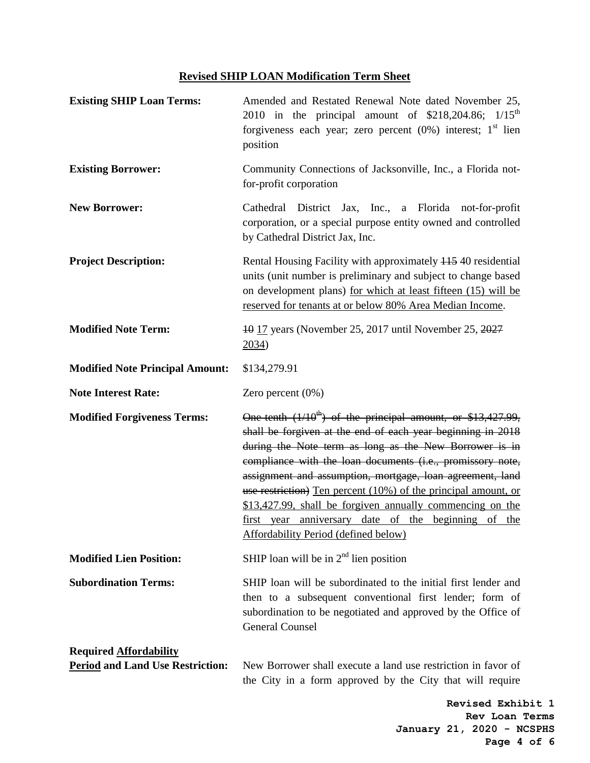## **Revised SHIP LOAN Modification Term Sheet**

| <b>Existing SHIP Loan Terms:</b>        | Amended and Restated Renewal Note dated November 25,<br>2010 in the principal amount of \$218,204.86; 1/15 <sup>th</sup><br>forgiveness each year; zero percent $(0%)$ interest; $1st$ lien<br>position                                                                                                                                                                                                                                                                                                                                                   |
|-----------------------------------------|-----------------------------------------------------------------------------------------------------------------------------------------------------------------------------------------------------------------------------------------------------------------------------------------------------------------------------------------------------------------------------------------------------------------------------------------------------------------------------------------------------------------------------------------------------------|
| <b>Existing Borrower:</b>               | Community Connections of Jacksonville, Inc., a Florida not-<br>for-profit corporation                                                                                                                                                                                                                                                                                                                                                                                                                                                                     |
| <b>New Borrower:</b>                    | District Jax, Inc., a Florida not-for-profit<br>Cathedral<br>corporation, or a special purpose entity owned and controlled<br>by Cathedral District Jax, Inc.                                                                                                                                                                                                                                                                                                                                                                                             |
| <b>Project Description:</b>             | Rental Housing Facility with approximately 445 40 residential<br>units (unit number is preliminary and subject to change based<br>on development plans) for which at least fifteen (15) will be<br>reserved for tenants at or below 80% Area Median Income.                                                                                                                                                                                                                                                                                               |
| <b>Modified Note Term:</b>              | 40 17 years (November 25, 2017 until November 25, 2027<br>2034)                                                                                                                                                                                                                                                                                                                                                                                                                                                                                           |
| <b>Modified Note Principal Amount:</b>  | \$134,279.91                                                                                                                                                                                                                                                                                                                                                                                                                                                                                                                                              |
| <b>Note Interest Rate:</b>              | Zero percent (0%)                                                                                                                                                                                                                                                                                                                                                                                                                                                                                                                                         |
| <b>Modified Forgiveness Terms:</b>      | One tenth $(1/10^{th})$ of the principal amount, or \$13,427.99,<br>shall be forgiven at the end of each year beginning in 2018<br>during the Note term as long as the New Borrower is in<br>compliance with the loan documents (i.e., promissory note,<br>assignment and assumption, mortgage, loan agreement, land<br>use restriction) Ten percent (10%) of the principal amount, or<br>\$13,427.99, shall be forgiven annually commencing on the<br>first year anniversary date of the beginning of the<br><b>Affordability Period (defined below)</b> |
| <b>Modified Lien Position:</b>          | SHIP loan will be in $2nd$ lien position                                                                                                                                                                                                                                                                                                                                                                                                                                                                                                                  |
| <b>Subordination Terms:</b>             | SHIP loan will be subordinated to the initial first lender and<br>then to a subsequent conventional first lender; form of<br>subordination to be negotiated and approved by the Office of<br><b>General Counsel</b>                                                                                                                                                                                                                                                                                                                                       |
| <b>Required Affordability</b>           |                                                                                                                                                                                                                                                                                                                                                                                                                                                                                                                                                           |
| <b>Period and Land Use Restriction:</b> | New Borrower shall execute a land use restriction in favor of<br>the City in a form approved by the City that will require                                                                                                                                                                                                                                                                                                                                                                                                                                |

**Revised Exhibit 1 Rev Loan Terms January 21, 2020 - NCSPHS Page 4 of 6**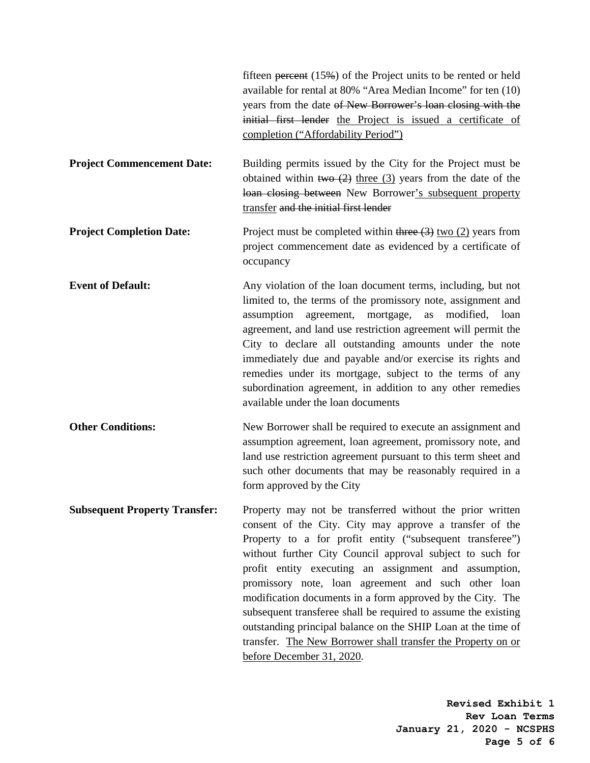|                                      | fifteen $\frac{\text{percent}}{\text{4}}$ (15%) of the Project units to be rented or held<br>available for rental at 80% "Area Median Income" for ten (10)<br>years from the date of New Borrower's loan closing with the<br>initial first lender the Project is issued a certificate of<br>completion ("Affordability Period")                                                                                                                                                                                                                                                                                                                              |
|--------------------------------------|--------------------------------------------------------------------------------------------------------------------------------------------------------------------------------------------------------------------------------------------------------------------------------------------------------------------------------------------------------------------------------------------------------------------------------------------------------------------------------------------------------------------------------------------------------------------------------------------------------------------------------------------------------------|
| <b>Project Commencement Date:</b>    | Building permits issued by the City for the Project must be<br>obtained within two $(2)$ three $(3)$ years from the date of the<br>loan closing between New Borrower's subsequent property<br>transfer and the initial first lender                                                                                                                                                                                                                                                                                                                                                                                                                          |
| <b>Project Completion Date:</b>      | Project must be completed within three $(3)$ two $(2)$ years from<br>project commencement date as evidenced by a certificate of<br>occupancy                                                                                                                                                                                                                                                                                                                                                                                                                                                                                                                 |
| <b>Event of Default:</b>             | Any violation of the loan document terms, including, but not<br>limited to, the terms of the promissory note, assignment and<br>assumption agreement, mortgage,<br>modified, loan<br>as<br>agreement, and land use restriction agreement will permit the<br>City to declare all outstanding amounts under the note<br>immediately due and payable and/or exercise its rights and<br>remedies under its mortgage, subject to the terms of any<br>subordination agreement, in addition to any other remedies<br>available under the loan documents                                                                                                             |
| <b>Other Conditions:</b>             | New Borrower shall be required to execute an assignment and<br>assumption agreement, loan agreement, promissory note, and<br>land use restriction agreement pursuant to this term sheet and<br>such other documents that may be reasonably required in a<br>form approved by the City                                                                                                                                                                                                                                                                                                                                                                        |
| <b>Subsequent Property Transfer:</b> | Property may not be transferred without the prior written<br>consent of the City. City may approve a transfer of the<br>Property to a for profit entity ("subsequent transferee")<br>without further City Council approval subject to such for<br>profit entity executing an assignment and assumption,<br>promissory note, loan agreement and such other loan<br>modification documents in a form approved by the City. The<br>subsequent transferee shall be required to assume the existing<br>outstanding principal balance on the SHIP Loan at the time of<br>transfer. The New Borrower shall transfer the Property on or<br>before December 31, 2020. |

**Revised Exhibit 1 Rev Loan Terms January 21, 2020 - NCSPHS Page 5 of 6**